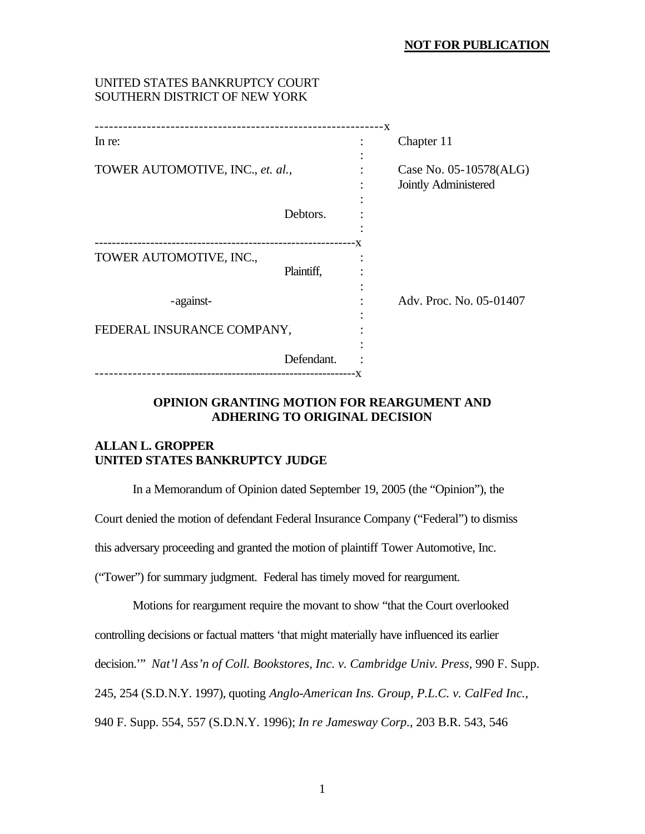## **NOT FOR PUBLICATION**

## UNITED STATES BANKRUPTCY COURT SOUTHERN DISTRICT OF NEW YORK

| ----------------------------------- |            | – X |                         |
|-------------------------------------|------------|-----|-------------------------|
| In re:                              |            |     | Chapter 11              |
| TOWER AUTOMOTIVE, INC., et. al.,    |            |     | Case No. 05-10578(ALG)  |
|                                     |            |     | Jointly Administered    |
|                                     | Debtors.   |     |                         |
|                                     |            | - X |                         |
| TOWER AUTOMOTIVE, INC.,             |            |     |                         |
|                                     | Plaintiff, |     |                         |
| -against-                           |            |     | Adv. Proc. No. 05-01407 |
| FEDERAL INSURANCE COMPANY,          |            |     |                         |
|                                     | Defendant. |     |                         |
|                                     |            |     |                         |
|                                     |            |     |                         |

# **OPINION GRANTING MOTION FOR REARGUMENT AND ADHERING TO ORIGINAL DECISION**

# **ALLAN L. GROPPER UNITED STATES BANKRUPTCY JUDGE**

In a Memorandum of Opinion dated September 19, 2005 (the "Opinion"), the

Court denied the motion of defendant Federal Insurance Company ("Federal") to dismiss

this adversary proceeding and granted the motion of plaintiff Tower Automotive, Inc.

("Tower") for summary judgment. Federal has timely moved for reargument.

Motions for reargument require the movant to show "that the Court overlooked controlling decisions or factual matters 'that might materially have influenced its earlier decision.'" *Nat'l Ass'n of Coll. Bookstores, Inc. v. Cambridge Univ. Press*, 990 F. Supp. 245, 254 (S.D.N.Y. 1997), quoting *Anglo-American Ins. Group, P.L.C. v. CalFed Inc.*, 940 F. Supp. 554, 557 (S.D.N.Y. 1996); *In re Jamesway Corp.*, 203 B.R. 543, 546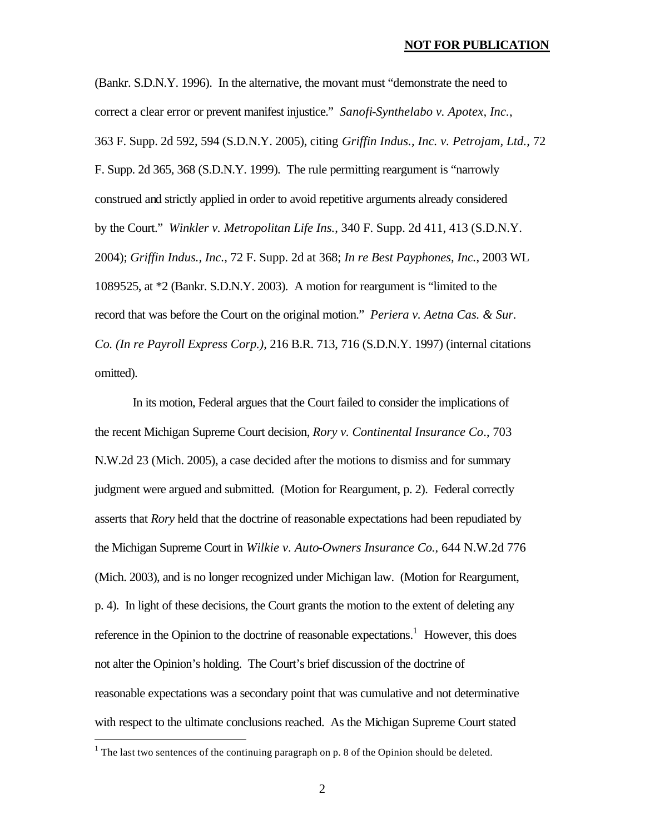(Bankr. S.D.N.Y. 1996). In the alternative, the movant must "demonstrate the need to correct a clear error or prevent manifest injustice." *Sanofi-Synthelabo v. Apotex, Inc.*, 363 F. Supp. 2d 592, 594 (S.D.N.Y. 2005), citing *Griffin Indus., Inc. v. Petrojam, Ltd.*, 72 F. Supp. 2d 365, 368 (S.D.N.Y. 1999). The rule permitting reargument is "narrowly construed and strictly applied in order to avoid repetitive arguments already considered by the Court." *Winkler v. Metropolitan Life Ins.*, 340 F. Supp. 2d 411, 413 (S.D.N.Y. 2004); *Griffin Indus., Inc.*, 72 F. Supp. 2d at 368; *In re Best Payphones, Inc.*, 2003 WL 1089525, at \*2 (Bankr. S.D.N.Y. 2003). A motion for reargument is "limited to the record that was before the Court on the original motion." *Periera v. Aetna Cas. & Sur. Co. (In re Payroll Express Corp.)*, 216 B.R. 713, 716 (S.D.N.Y. 1997) (internal citations omitted).

In its motion, Federal argues that the Court failed to consider the implications of the recent Michigan Supreme Court decision, *Rory v. Continental Insurance Co*., 703 N.W.2d 23 (Mich. 2005), a case decided after the motions to dismiss and for summary judgment were argued and submitted. (Motion for Reargument, p. 2). Federal correctly asserts that *Rory* held that the doctrine of reasonable expectations had been repudiated by the Michigan Supreme Court in *Wilkie v. Auto-Owners Insurance Co.*, 644 N.W.2d 776 (Mich. 2003), and is no longer recognized under Michigan law. (Motion for Reargument, p. 4). In light of these decisions, the Court grants the motion to the extent of deleting any reference in the Opinion to the doctrine of reasonable expectations.<sup>1</sup> However, this does not alter the Opinion's holding. The Court's brief discussion of the doctrine of reasonable expectations was a secondary point that was cumulative and not determinative with respect to the ultimate conclusions reached. As the Michigan Supreme Court stated

 $\overline{a}$ 

<sup>&</sup>lt;sup>1</sup> The last two sentences of the continuing paragraph on p. 8 of the Opinion should be deleted.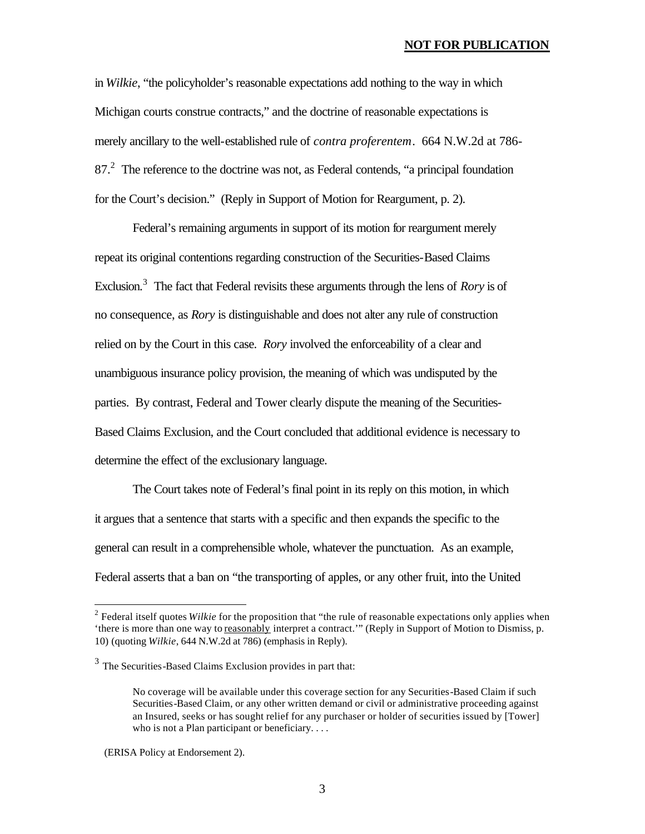#### **NOT FOR PUBLICATION**

in *Wilkie*, "the policyholder's reasonable expectations add nothing to the way in which Michigan courts construe contracts," and the doctrine of reasonable expectations is merely ancillary to the well-established rule of *contra proferentem*. 664 N.W.2d at 786- 87.<sup>2</sup> The reference to the doctrine was not, as Federal contends, "a principal foundation for the Court's decision." (Reply in Support of Motion for Reargument, p. 2).

Federal's remaining arguments in support of its motion for reargument merely repeat its original contentions regarding construction of the Securities-Based Claims Exclusion.<sup>3</sup> The fact that Federal revisits these arguments through the lens of *Rory* is of no consequence, as *Rory* is distinguishable and does not alter any rule of construction relied on by the Court in this case. *Rory* involved the enforceability of a clear and unambiguous insurance policy provision, the meaning of which was undisputed by the parties. By contrast, Federal and Tower clearly dispute the meaning of the Securities-Based Claims Exclusion, and the Court concluded that additional evidence is necessary to determine the effect of the exclusionary language.

The Court takes note of Federal's final point in its reply on this motion, in which it argues that a sentence that starts with a specific and then expands the specific to the general can result in a comprehensible whole, whatever the punctuation. As an example, Federal asserts that a ban on "the transporting of apples, or any other fruit, into the United

 $\overline{a}$ 

<sup>&</sup>lt;sup>2</sup> Federal itself quotes *Wilkie* for the proposition that "the rule of reasonable expectations only applies when 'there is more than one way to reasonably interpret a contract.'" (Reply in Support of Motion to Dismiss, p. 10) (quoting *Wilkie*, 644 N.W.2d at 786) (emphasis in Reply).

 $3$  The Securities-Based Claims Exclusion provides in part that:

No coverage will be available under this coverage section for any Securities-Based Claim if such Securities-Based Claim, or any other written demand or civil or administrative proceeding against an Insured, seeks or has sought relief for any purchaser or holder of securities issued by [Tower] who is not a Plan participant or beneficiary. . . .

 <sup>(</sup>ERISA Policy at Endorsement 2).